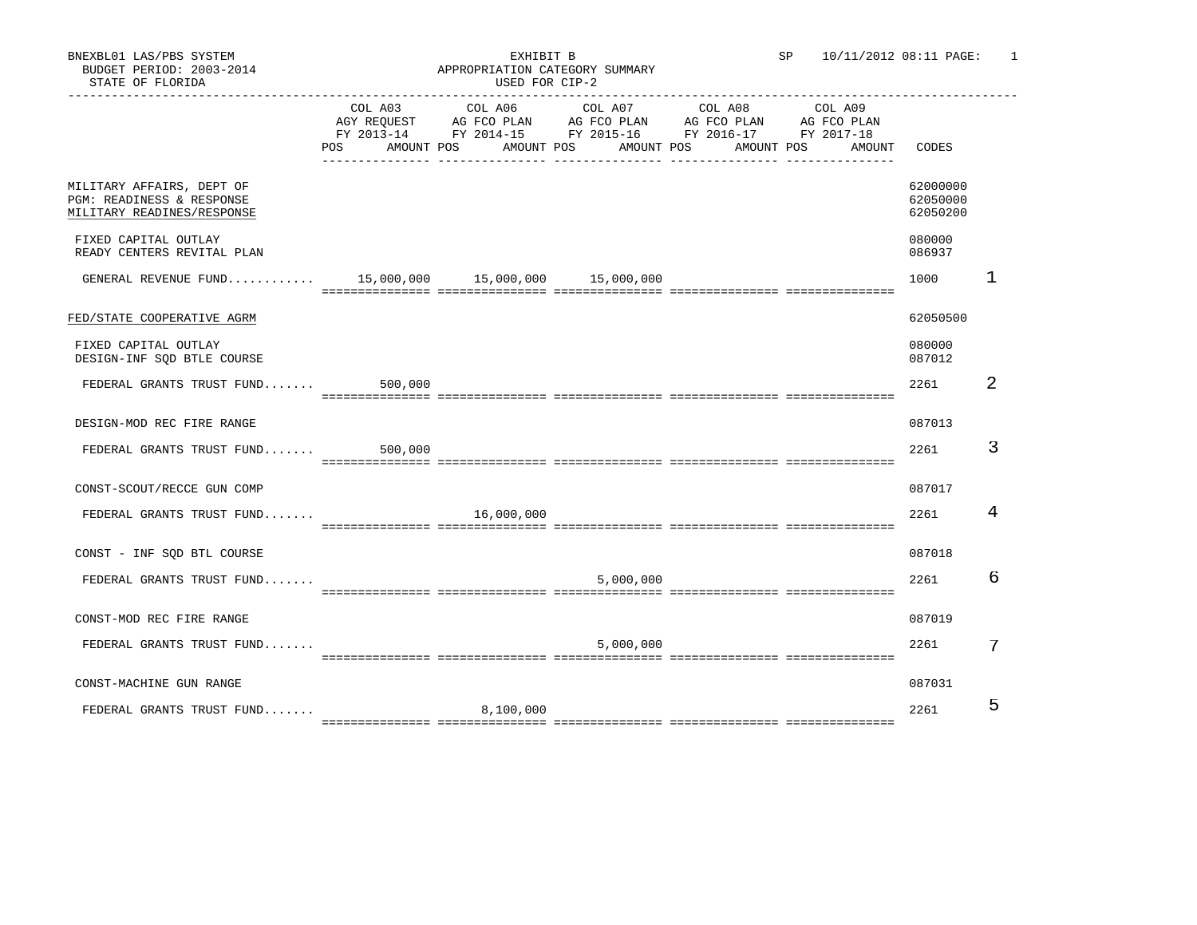|                                                                                      |         |            | $\begin{tabular}{lcccc} COL A03 & COL A06 & COL A07 & COL A08 & COL A09 \\ AGY REGUEST & AG FCO PLAN & AG FCO PLAN & AG FCO PLAN & AG FCO PLAN \\ \end{tabular}$<br>FY 2013-14 FY 2014-15 FY 2015-16 FY 2016-17 FY 2017-18<br>POS AMOUNT POS AMOUNT POS AMOUNT POS AMOUNT POS | AMOUNT CODES |                                  |    |
|--------------------------------------------------------------------------------------|---------|------------|-------------------------------------------------------------------------------------------------------------------------------------------------------------------------------------------------------------------------------------------------------------------------------|--------------|----------------------------------|----|
| MILITARY AFFAIRS, DEPT OF<br>PGM: READINESS & RESPONSE<br>MILITARY READINES/RESPONSE |         |            |                                                                                                                                                                                                                                                                               |              | 62000000<br>62050000<br>62050200 |    |
| FIXED CAPITAL OUTLAY<br>READY CENTERS REVITAL PLAN                                   |         |            |                                                                                                                                                                                                                                                                               |              | 080000<br>086937                 |    |
| GENERAL REVENUE FUND 15,000,000 15,000,000 15,000,000                                |         |            |                                                                                                                                                                                                                                                                               |              | 1000                             | -1 |
| FED/STATE COOPERATIVE AGRM                                                           |         |            |                                                                                                                                                                                                                                                                               |              | 62050500                         |    |
| FIXED CAPITAL OUTLAY<br>DESIGN-INF SQD BTLE COURSE                                   |         |            |                                                                                                                                                                                                                                                                               |              | 080000<br>087012                 |    |
| FEDERAL GRANTS TRUST FUND                                                            | 500,000 |            |                                                                                                                                                                                                                                                                               |              | 2261                             | 2  |
| DESIGN-MOD REC FIRE RANGE                                                            |         |            |                                                                                                                                                                                                                                                                               |              | 087013                           |    |
| FEDERAL GRANTS TRUST FUND 500,000                                                    |         |            |                                                                                                                                                                                                                                                                               |              | 2261                             | 3  |
| CONST-SCOUT/RECCE GUN COMP                                                           |         |            |                                                                                                                                                                                                                                                                               |              | 087017                           |    |
| FEDERAL GRANTS TRUST FUND                                                            |         | 16,000,000 |                                                                                                                                                                                                                                                                               |              | 2261                             | 4  |
| CONST - INF SQD BTL COURSE                                                           |         |            |                                                                                                                                                                                                                                                                               |              | 087018                           |    |
| FEDERAL GRANTS TRUST FUND                                                            |         |            | 5,000,000                                                                                                                                                                                                                                                                     |              | 2261                             | 6  |
| CONST-MOD REC FIRE RANGE                                                             |         |            |                                                                                                                                                                                                                                                                               |              | 087019                           |    |
| FEDERAL GRANTS TRUST FUND                                                            |         |            | 5,000,000                                                                                                                                                                                                                                                                     |              | 2261                             | 7  |
| CONST-MACHINE GUN RANGE                                                              |         |            |                                                                                                                                                                                                                                                                               |              | 087031                           |    |
| FEDERAL GRANTS TRUST FUND                                                            |         | 8,100,000  |                                                                                                                                                                                                                                                                               |              | 2261                             | 5  |
|                                                                                      |         |            |                                                                                                                                                                                                                                                                               |              |                                  |    |